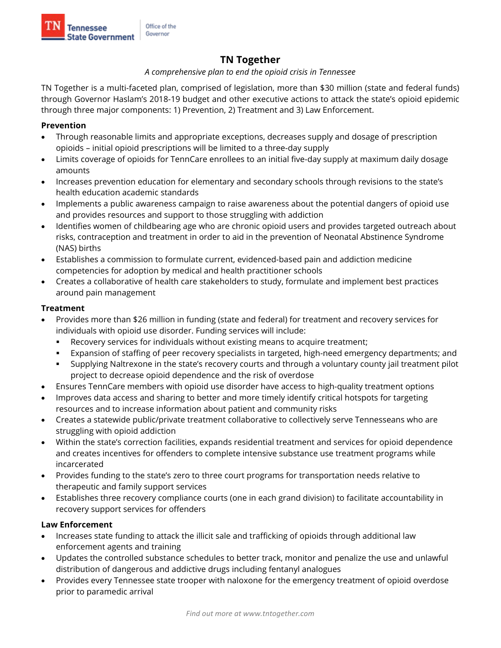# **TN Together**

### *A comprehensive plan to end the opioid crisis in Tennessee*

TN Together is a multi-faceted plan, comprised of legislation, more than \$30 million (state and federal funds) through Governor Haslam's 2018-19 budget and other executive actions to attack the state's opioid epidemic through three major components: 1) Prevention, 2) Treatment and 3) Law Enforcement.

## **Prevention**

- Through reasonable limits and appropriate exceptions, decreases supply and dosage of prescription opioids – initial opioid prescriptions will be limited to a three-day supply
- Limits coverage of opioids for TennCare enrollees to an initial five-day supply at maximum daily dosage amounts
- Increases prevention education for elementary and secondary schools through revisions to the state's health education academic standards
- Implements a public awareness campaign to raise awareness about the potential dangers of opioid use and provides resources and support to those struggling with addiction
- Identifies women of childbearing age who are chronic opioid users and provides targeted outreach about risks, contraception and treatment in order to aid in the prevention of Neonatal Abstinence Syndrome (NAS) births
- Establishes a commission to formulate current, evidenced-based pain and addiction medicine competencies for adoption by medical and health practitioner schools
- Creates a collaborative of health care stakeholders to study, formulate and implement best practices around pain management

## **Treatment**

- Provides more than \$26 million in funding (state and federal) for treatment and recovery services for individuals with opioid use disorder. Funding services will include:
	- Recovery services for individuals without existing means to acquire treatment;
	- Expansion of staffing of peer recovery specialists in targeted, high-need emergency departments; and
	- Supplying Naltrexone in the state's recovery courts and through a voluntary county jail treatment pilot project to decrease opioid dependence and the risk of overdose
- Ensures TennCare members with opioid use disorder have access to high-quality treatment options
- Improves data access and sharing to better and more timely identify critical hotspots for targeting resources and to increase information about patient and community risks
- Creates a statewide public/private treatment collaborative to collectively serve Tennesseans who are struggling with opioid addiction
- Within the state's correction facilities, expands residential treatment and services for opioid dependence and creates incentives for offenders to complete intensive substance use treatment programs while incarcerated
- Provides funding to the state's zero to three court programs for transportation needs relative to therapeutic and family support services
- Establishes three recovery compliance courts (one in each grand division) to facilitate accountability in recovery support services for offenders

## **Law Enforcement**

- Increases state funding to attack the illicit sale and trafficking of opioids through additional law enforcement agents and training
- Updates the controlled substance schedules to better track, monitor and penalize the use and unlawful distribution of dangerous and addictive drugs including fentanyl analogues
- Provides every Tennessee state trooper with naloxone for the emergency treatment of opioid overdose prior to paramedic arrival